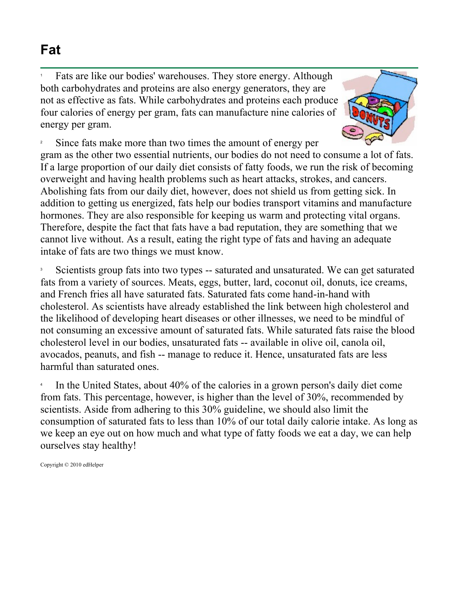## **Fat**

1 Fats are like our bodies' warehouses. They store energy. Although both carbohydrates and proteins are also energy generators, they are not as effective as fats. While carbohydrates and proteins each produce four calories of energy per gram, fats can manufacture nine calories of energy per gram.



2 Since fats make more than two times the amount of energy per gram as the other two essential nutrients, our bodies do not need to consume a lot of fats. If a large proportion of our daily diet consists of fatty foods, we run the risk of becoming overweight and having health problems such as heart attacks, strokes, and cancers. Abolishing fats from our daily diet, however, does not shield us from getting sick. In addition to getting us energized, fats help our bodies transport vitamins and manufacture hormones. They are also responsible for keeping us warm and protecting vital organs. Therefore, despite the fact that fats have a bad reputation, they are something that we cannot live without. As a result, eating the right type of fats and having an adequate intake of fats are two things we must know.

3 Scientists group fats into two types -- saturated and unsaturated. We can get saturated fats from a variety of sources. Meats, eggs, butter, lard, coconut oil, donuts, ice creams, and French fries all have saturated fats. Saturated fats come hand-in-hand with cholesterol. As scientists have already established the link between high cholesterol and the likelihood of developing heart diseases or other illnesses, we need to be mindful of not consuming an excessive amount of saturated fats. While saturated fats raise the blood cholesterol level in our bodies, unsaturated fats -- available in olive oil, canola oil, avocados, peanuts, and fish -- manage to reduce it. Hence, unsaturated fats are less harmful than saturated ones.

4 In the United States, about 40% of the calories in a grown person's daily diet come from fats. This percentage, however, is higher than the level of 30%, recommended by scientists. Aside from adhering to this 30% guideline, we should also limit the consumption of saturated fats to less than 10% of our total daily calorie intake. As long as we keep an eye out on how much and what type of fatty foods we eat a day, we can help ourselves stay healthy!

Copyright © 2010 edHelper